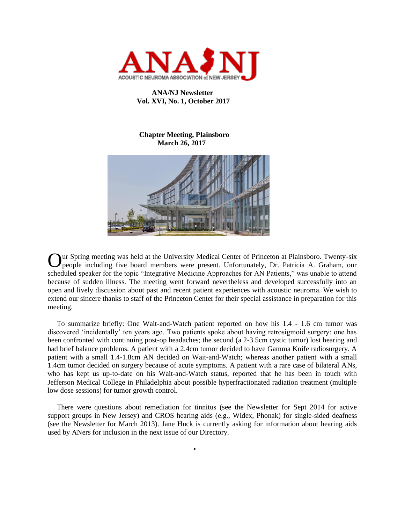

## **ANA/NJ Newsletter Vol. XVI, No. 1, October 2017**

## **Chapter Meeting, Plainsboro March 26, 2017**



Our Spring meeting was held at the University Medical Center of Princeton at Plainsboro. Twenty-six people including five board members were present. Unfortunately, Dr. Patricia A. Graham, our people including five board members were present. Unfortunately, Dr. Patricia A. Graham, our scheduled speaker for the topic "Integrative Medicine Approaches for AN Patients," was unable to attend because of sudden illness. The meeting went forward nevertheless and developed successfully into an open and lively discussion about past and recent patient experiences with acoustic neuroma. We wish to extend our sincere thanks to staff of the Princeton Center for their special assistance in preparation for this meeting.

 To summarize briefly: One Wait-and-Watch patient reported on how his 1.4 - 1.6 cm tumor was discovered 'incidentally' ten years ago. Two patients spoke about having retrosigmoid surgery: one has been confronted with continuing post-op headaches; the second (a 2-3.5cm cystic tumor) lost hearing and had brief balance problems. A patient with a 2.4cm tumor decided to have Gamma Knife radiosurgery. A patient with a small 1.4-1.8cm AN decided on Wait-and-Watch; whereas another patient with a small 1.4cm tumor decided on surgery because of acute symptoms. A patient with a rare case of bilateral ANs, who has kept us up-to-date on his Wait-and-Watch status, reported that he has been in touch with Jefferson Medical College in Philadelphia about possible hyperfractionated radiation treatment (multiple low dose sessions) for tumor growth control.

 There were questions about remediation for tinnitus (see the Newsletter for Sept 2014 for active support groups in New Jersey) and CROS hearing aids (e.g., Widex, Phonak) for single-sided deafness (see the Newsletter for March 2013). Jane Huck is currently asking for information about hearing aids used by ANers for inclusion in the next issue of our Directory.

•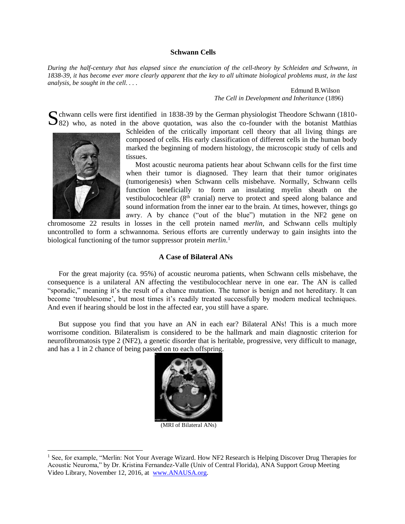### **Schwann Cells**

*During the half-century that has elapsed since the enunciation of the cell-theory by Schleiden and Schwann, in 1838-39, it has become ever more clearly apparent that the key to all ultimate biological problems must, in the last analysis, be sought in the cell. . . .*

> Edmund B.Wilson *The Cell in Development and Inheritance* (1896)

 $\Omega$  chwann cells were first identified in 1838-39 by the German physiologist Theodore Schwann (1810-S chwann cells were first identified in 1838-39 by the German physiologist Theodore Schwann (1810-82) who, as noted in the above quotation, was also the co-founder with the botanist Matthias



l

Schleiden of the critically important cell theory that all living things are composed of cells. His early classification of different cells in the human body marked the beginning of modern histology, the microscopic study of cells and tissues.

 Most acoustic neuroma patients hear about Schwann cells for the first time when their tumor is diagnosed. They learn that their tumor originates (tumorigenesis) when Schwann cells misbehave. Normally, Schwann cells function beneficially to form an insulating myelin sheath on the vestibulocochlear (8<sup>th</sup> cranial) nerve to protect and speed along balance and sound information from the inner ear to the brain. At times, however, things go awry. A by chance ("out of the blue") mutation in the NF2 gene on

chromosome 22 results in losses in the cell protein named *merlin,* and Schwann cells multiply uncontrolled to form a schwannoma. Serious efforts are currently underway to gain insights into the biological functioning of the tumor suppressor protein *merlin*. 1

### **A Case of Bilateral ANs**

 For the great majority (ca. 95%) of acoustic neuroma patients, when Schwann cells misbehave, the consequence is a unilateral AN affecting the vestibulocochlear nerve in one ear. The AN is called "sporadic," meaning it's the result of a chance mutation. The tumor is benign and not hereditary. It can become 'troublesome', but most times it's readily treated successfully by modern medical techniques. And even if hearing should be lost in the affected ear, you still have a spare.

 But suppose you find that you have an AN in each ear? Bilateral ANs! This is a much more worrisome condition. Bilateralism is considered to be the hallmark and main diagnostic criterion for neurofibromatosis type 2 (NF2), a genetic disorder that is heritable, progressive, very difficult to manage, and has a 1 in 2 chance of being passed on to each offspring.



(MRI of Bilateral ANs)

<sup>&</sup>lt;sup>1</sup> See, for example, "Merlin: Not Your Average Wizard. How NF2 Research is Helping Discover Drug Therapies for Acoustic Neuroma," by Dr. Kristina Fernandez-Valle (Univ of Central Florida), ANA Support Group Meeting Video Library, November 12, 2016, at [www.ANAUSA.org.](http://www.anausa.org/)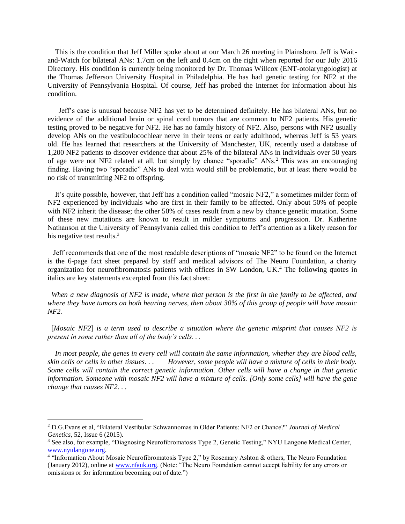This is the condition that Jeff Miller spoke about at our March 26 meeting in Plainsboro. Jeff is Waitand-Watch for bilateral ANs: 1.7cm on the left and 0.4cm on the right when reported for our July 2016 Directory. His condition is currently being monitored by Dr. Thomas Willcox (ENT-otolaryngologist) at the Thomas Jefferson University Hospital in Philadelphia. He has had genetic testing for NF2 at the University of Pennsylvania Hospital. Of course, Jeff has probed the Internet for information about his condition.

 Jeff's case is unusual because NF2 has yet to be determined definitely. He has bilateral ANs, but no evidence of the additional brain or spinal cord tumors that are common to NF2 patients. His genetic testing proved to be negative for NF2. He has no family history of NF2. Also, persons with NF2 usually develop ANs on the vestibulocochlear nerve in their teens or early adulthood, whereas Jeff is 53 years old. He has learned that researchers at the University of Manchester, UK, recently used a database of 1,200 NF2 patients to discover evidence that about 25% of the bilateral ANs in individuals over 50 years of age were not NF2 related at all, but simply by chance "sporadic" ANs.<sup>2</sup> This was an encouraging finding. Having two "sporadic" ANs to deal with would still be problematic, but at least there would be no risk of transmitting NF2 to offspring.

 It's quite possible, however, that Jeff has a condition called "mosaic NF2," a sometimes milder form of NF2 experienced by individuals who are first in their family to be affected. Only about 50% of people with NF2 inherit the disease; the other 50% of cases result from a new by chance genetic mutation. Some of these new mutations are known to result in milder symptoms and progression. Dr. Katherine Nathanson at the University of Pennsylvania called this condition to Jeff's attention as a likely reason for his negative test results.<sup>3</sup>

 Jeff recommends that one of the most readable descriptions of "mosaic NF2" to be found on the Internet is the 6-page fact sheet prepared by staff and medical advisors of The Neuro Foundation, a charity organization for neurofibromatosis patients with offices in SW London, UK.<sup>4</sup> The following quotes in italics are key statements excerpted from this fact sheet:

 *When a new diagnosis of NF2 is made, where that person is the first in the family to be affected, and where they have tumors on both hearing nerves, then about 30% of this group of people will have mosaic NF2.*

 [*Mosaic NF2*] *is a term used to describe a situation where the genetic misprint that causes NF2 is present in some rather than all of the body's cells. . .* 

 *In most people, the genes in every cell will contain the same information, whether they are blood cells, skin cells or cells in other tissues. . . However, some people will have a mixture of cells in their body. Some cells will contain the correct genetic information. Other cells will have a change in that genetic information. Someone with mosaic NF2 will have a mixture of cells. [Only some cells] will have the gene change that causes NF2. . .* 

l

<sup>2</sup> D.G.Evans et al, "Bilateral Vestibular Schwannomas in Older Patients: NF2 or Chance?" *Journal of Medical Genetics*, 52, Issue 6 (2015).

<sup>&</sup>lt;sup>3</sup> See also, for example, "Diagnosing Neurofibromatosis Type 2, Genetic Testing," NYU Langone Medical Center, [www.nyulangone.org.](http://www.nyulangone.org/)

<sup>&</sup>lt;sup>4</sup> "Information About Mosaic Neurofibromatosis Type 2," by Rosemary Ashton & others, The Neuro Foundation (January 2012), online at [www.nfauk.org.](http://www.nfauk.org/) (Note: "The Neuro Foundation cannot accept liability for any errors or omissions or for information becoming out of date.")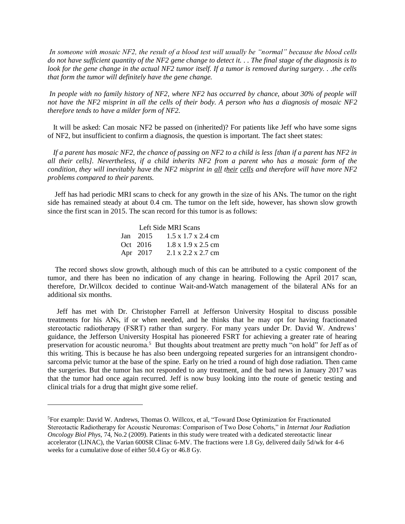*In someone with mosaic NF2, the result of a blood test will usually be "normal" because the blood cells do not have sufficient quantity of the NF2 gene change to detect it. . . The final stage of the diagnosis is to look for the gene change in the actual NF2 tumor itself. If a tumor is removed during surgery. . .the cells that form the tumor will definitely have the gene change.*

*In people with no family history of NF2, where NF2 has occurred by chance, about 30% of people will not have the NF2 misprint in all the cells of their body. A person who has a diagnosis of mosaic NF2 therefore tends to have a milder form of NF2.*

 It will be asked: Can mosaic NF2 be passed on (inherited)? For patients like Jeff who have some signs of NF2, but insufficient to confirm a diagnosis, the question is important. The fact sheet states:

 *If a parent has mosaic NF2, the chance of passing on NF2 to a child is less [than if a parent has NF2 in all their cells]. Nevertheless, if a child inherits NF2 from a parent who has a mosaic form of the condition, they will inevitably have the NF2 misprint in all their cells and therefore will have more NF2 problems compared to their parents.*

 Jeff has had periodic MRI scans to check for any growth in the size of his ANs. The tumor on the right side has remained steady at about 0.4 cm. The tumor on the left side, however, has shown slow growth since the first scan in 2015. The scan record for this tumor is as follows:

|          | Left Side MRI Scans                     |
|----------|-----------------------------------------|
|          | Jan 2015 $1.5 \times 1.7 \times 2.4$ cm |
| Oct 2016 | $1.8 \times 1.9 \times 2.5$ cm          |
|          | Apr 2017 2.1 x 2.2 x 2.7 cm             |

l

 The record shows slow growth, although much of this can be attributed to a cystic component of the tumor, and there has been no indication of any change in hearing. Following the April 2017 scan, therefore, Dr.Willcox decided to continue Wait-and-Watch management of the bilateral ANs for an additional six months.

 Jeff has met with Dr. Christopher Farrell at Jefferson University Hospital to discuss possible treatments for his ANs, if or when needed, and he thinks that he may opt for having fractionated stereotactic radiotherapy (FSRT) rather than surgery. For many years under Dr. David W. Andrews' guidance, the Jefferson University Hospital has pioneered FSRT for achieving a greater rate of hearing preservation for acoustic neuroma.<sup>5</sup> But thoughts about treatment are pretty much "on hold" for Jeff as of this writing. This is because he has also been undergoing repeated surgeries for an intransigent chondrosarcoma pelvic tumor at the base of the spine. Early on he tried a round of high dose radiation. Then came the surgeries. But the tumor has not responded to any treatment, and the bad news in January 2017 was that the tumor had once again recurred. Jeff is now busy looking into the route of genetic testing and clinical trials for a drug that might give some relief.

<sup>5</sup>For example: David W. Andrews, Thomas O. Willcox, et al, "Toward Dose Optimization for Fractionated Stereotactic Radiotherapy for Acoustic Neuromas: Comparison of Two Dose Cohorts," in *Internat Jour Radiation Oncology Biol Phys*, 74, No.2 (2009). Patients in this study were treated with a dedicated stereotactic linear accelerator (LINAC), the Varian 600SR Clinac 6-MV. The fractions were 1.8 Gy, delivered daily 5d/wk for 4-6 weeks for a cumulative dose of either 50.4 Gy or 46.8 Gy.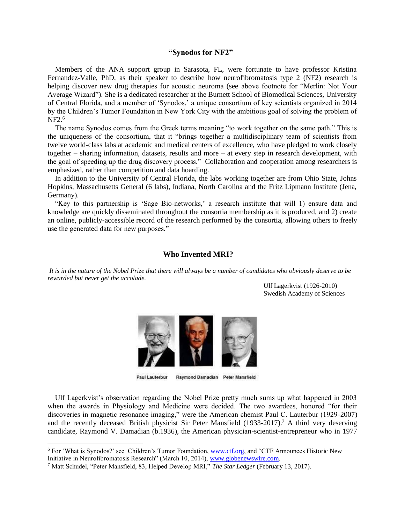### **"Synodos for NF2"**

 Members of the ANA support group in Sarasota, FL, were fortunate to have professor Kristina Fernandez-Valle, PhD, as their speaker to describe how neurofibromatosis type 2 (NF2) research is helping discover new drug therapies for acoustic neuroma (see above footnote for "Merlin: Not Your Average Wizard"). She is a dedicated researcher at the Burnett School of Biomedical Sciences, University of Central Florida, and a member of 'Synodos,' a unique consortium of key scientists organized in 2014 by the Children's Tumor Foundation in New York City with the ambitious goal of solving the problem of NF2.<sup>6</sup>

 The name Synodos comes from the Greek terms meaning "to work together on the same path." This is the uniqueness of the consortium, that it "brings together a multidisciplinary team of scientists from twelve world-class labs at academic and medical centers of excellence, who have pledged to work closely together – sharing information, datasets, results and more – at every step in research development, with the goal of speeding up the drug discovery process." Collaboration and cooperation among researchers is emphasized, rather than competition and data hoarding.

 In addition to the University of Central Florida, the labs working together are from Ohio State, Johns Hopkins, Massachusetts General (6 labs), Indiana, North Carolina and the Fritz Lipmann Institute (Jena, Germany).

 "Key to this partnership is 'Sage Bio-networks,' a research institute that will 1) ensure data and knowledge are quickly disseminated throughout the consortia membership as it is produced, and 2) create an online, publicly-accessible record of the research performed by the consortia, allowing others to freely use the generated data for new purposes."

### **Who Invented MRI?**

*It is in the nature of the Nobel Prize that there will always be a number of candidates who obviously deserve to be rewarded but never get the accolade.*

> Ulf Lagerkvist (1926-2010) Swedish Academy of Sciences



Paul Lauterbur Raymond Damadian Peter Mansfield

 Ulf Lagerkvist's observation regarding the Nobel Prize pretty much sums up what happened in 2003 when the awards in Physiology and Medicine were decided. The two awardees, honored "for their discoveries in magnetic resonance imaging," were the American chemist Paul C. Lauterbur (1929-2007) and the recently deceased British physicist Sir Peter Mansfield  $(1933-2017)$ .<sup>7</sup> A third very deserving candidate, Raymond V. Damadian (b.1936), the American physician-scientist-entrepreneur who in 1977

l

<sup>6</sup> For 'What is Synodos?' see Children's Tumor Foundation, [www.ctf.org,](http://www.ctf.org/) and "CTF Announces Historic New Initiative in Neurofibromatosis Research" (March 10, 2014), [www.globenewswire.com.](http://www.globenewswire.com/)

<sup>7</sup> Matt Schudel, "Peter Mansfield, 83, Helped Develop MRI," *The Star Ledger* (February 13, 2017).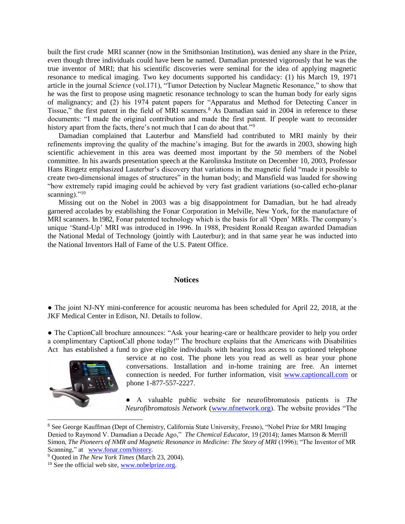built the first crude MRI scanner (now in the Smithsonian Institution), was denied any share in the Prize, even though three individuals could have been be named. Damadian protested vigorously that he was the true inventor of MRI; that his scientific discoveries were seminal for the idea of applying magnetic resonance to medical imaging. Two key documents supported his candidacy: (1) his March 19, 1971 article in the journal *Science* (vol.171), "Tumor Detection by Nuclear Magnetic Resonance," to show that he was the first to propose using magnetic resonance technology to scan the human body for early signs of malignancy; and (2) his 1974 patent papers for "Apparatus and Method for Detecting Cancer in Tissue," the first patent in the field of MRI scanners.<sup>8</sup> As Damadian said in 2004 in reference to these documents: "I made the original contribution and made the first patent. If people want to reconsider history apart from the facts, there's not much that I can do about that."<sup>9</sup>

 Damadian complained that Lauterbur and Mansfield had contributed to MRI mainly by their refinements improving the quality of the machine's imaging. But for the awards in 2003, showing high scientific achievement in this area was deemed most important by the 50 members of the Nobel committee. In his awards presentation speech at the Karolinska Institute on December 10, 2003, Professor Hans Ringetz emphasized Lauterbur's discovery that variations in the magnetic field "made it possible to create two-dimensional images of structures" in the human body; and Mansfield was lauded for showing "how extremely rapid imaging could be achieved by very fast gradient variations (so-called echo-planar scanning). $"10"$ 

 Missing out on the Nobel in 2003 was a big disappointment for Damadian, but he had already garnered accolades by establishing the Fonar Corporation in Melville, New York, for the manufacture of MRI scanners. In 1982, Fonar patented technology which is the basis for all 'Open' MRIs. The company's unique 'Stand-Up' MRI was introduced in 1996. In 1988, President Ronald Reagan awarded Damadian the National Medal of Technology (jointly with Lauterbur); and in that same year he was inducted into the National Inventors Hall of Fame of the U.S. Patent Office.

### **Notices**

• The joint NJ-NY mini-conference for acoustic neuroma has been scheduled for April 22, 2018, at the JKF Medical Center in Edison, NJ. Details to follow.

• The CaptionCall brochure announces: "Ask your hearing-care or healthcare provider to help you order a complimentary CaptionCall phone today!" The brochure explains that the Americans with Disabilities Act has established a fund to give eligible individuals with hearing loss access to captioned telephone



l

service at no cost. The phone lets you read as well as hear your phone conversations. Installation and in-home training are free. An internet connection is needed. For further information, visit [www.captioncall.com](http://www.captioncall.com/) or phone 1-877-557-2227.

● A valuable public website for neurofibromatosis patients is *The Neurofibromatosis Network* [\(www.nfnetwork.org\)](http://www.nfnetwork.org/). The website provides "The

<sup>8</sup> See George Kauffman (Dept of Chemistry, California State University, Fresno), "Nobel Prize for MRI Imaging Denied to Raymond V. Damadian a Decade Ago," *The Chemical Educator*, 19 (2014); James Mattson & Merrill Simon, *The Pioneers of NMR and Magnetic Resonance in Medicine: The Story of MRI* (1996); "The Inventor of MR Scanning," at [www.fonar.com/history.](http://www.fonar.com/history)

<sup>9</sup> Quoted in *The New York Times* (March 23, 2004).

 $10$  See the official web site, [www.nobelprize.org.](http://www.nobelprize.org/)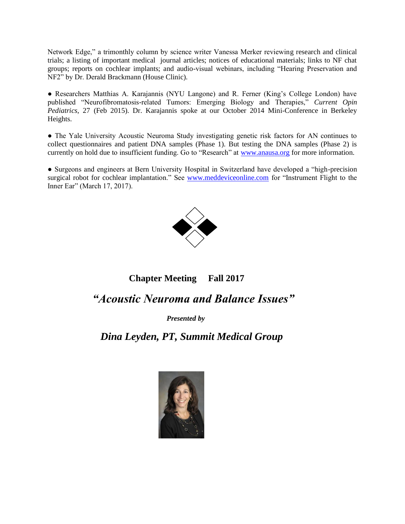Network Edge," a trimonthly column by science writer Vanessa Merker reviewing research and clinical trials; a listing of important medical journal articles; notices of educational materials; links to NF chat groups; reports on cochlear implants; and audio-visual webinars, including "Hearing Preservation and NF2" by Dr. Derald Brackmann (House Clinic).

● Researchers Matthias A. Karajannis (NYU Langone) and R. Ferner (King's College London) have published "Neurofibromatosis-related Tumors: Emerging Biology and Therapies," *Current Opin Pediatrics*, 27 (Feb 2015). Dr. Karajannis spoke at our October 2014 Mini-Conference in Berkeley Heights.

● The Yale University Acoustic Neuroma Study investigating genetic risk factors for AN continues to collect questionnaires and patient DNA samples (Phase 1). But testing the DNA samples (Phase 2) is currently on hold due to insufficient funding. Go to "Research" at [www.anausa.org](http://www.anausa.org/) for more information.

● Surgeons and engineers at Bern University Hospital in Switzerland have developed a "high-precision surgical robot for cochlear implantation." See [www.meddeviceonline.com](http://www.meddeviceonline.com/) for "Instrument Flight to the Inner Ear" (March 17, 2017).



# **Chapter Meeting Fall 2017**

# *"Acoustic Neuroma and Balance Issues"*

*Presented by*

## *Dina Leyden, PT, Summit Medical Group*